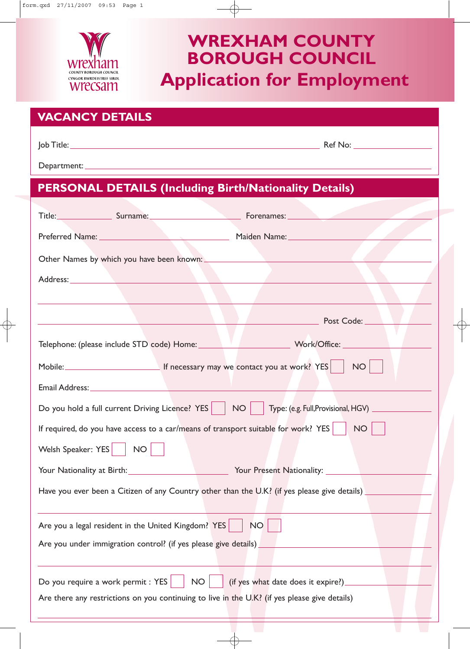

# **Application for Employment WREXHAM COUNTY BOROUGH COUNCIL**

| <b>VACANCY DETAILS</b>                                                                                                                                                                                                               |
|--------------------------------------------------------------------------------------------------------------------------------------------------------------------------------------------------------------------------------------|
|                                                                                                                                                                                                                                      |
|                                                                                                                                                                                                                                      |
| <b>PERSONAL DETAILS (Including Birth/Nationality Details)</b>                                                                                                                                                                        |
|                                                                                                                                                                                                                                      |
| Title: Surname: Surname: Forenames: Network Contains Containers and Title:                                                                                                                                                           |
|                                                                                                                                                                                                                                      |
|                                                                                                                                                                                                                                      |
|                                                                                                                                                                                                                                      |
|                                                                                                                                                                                                                                      |
| <u>Post Code: Electronic Post Code: Electronic Post Code: Electronic Post Code: Electronic Post Code: Electronic Post Code: Electronic Post Code: Electronic Post Code: Electronic Post Code: Electronic Post Code: Electronic P</u> |
|                                                                                                                                                                                                                                      |
| Mobile: Mobile: Mobile: Mobile: Mobile: Mobile: Mobile: Mobile: Mobile: Mobile: Mobile: Mobile: Mobil                                                                                                                                |
| Email Address: No. 1998                                                                                                                                                                                                              |
| Do you hold a full current Driving Licence? YES                                                                                                                                                                                      |
| NO<br>If required, do you have access to a car/means of transport suitable for work? YES $\ \cdot\ $                                                                                                                                 |
| Welsh Speaker: YES<br><b>NO</b>                                                                                                                                                                                                      |
| <b>The Your Nationality at Birth:</b>                                                                                                                                                                                                |
| Have you ever been a Citizen of any Country other than the U.K? (if yes please give details) _____                                                                                                                                   |
| Are you a legal resident in the United Kingdom? YES<br><b>NO</b>                                                                                                                                                                     |
| Are you under immigration control? (if yes please give details)                                                                                                                                                                      |
|                                                                                                                                                                                                                                      |
| Do you require a work permit : YES<br>(if yes what date does it expire?)_<br><b>NO</b>                                                                                                                                               |
| Are there any restrictions on you continuing to live in the U.K? (if yes please give details)                                                                                                                                        |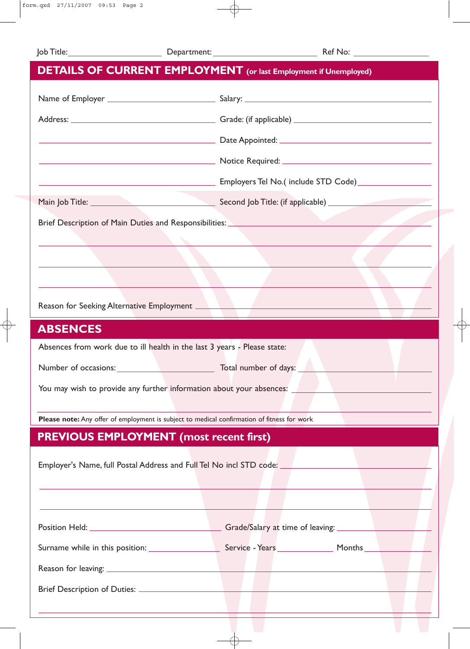|                                                                                                                        | <b>DETAILS OF CURRENT EMPLOYMENT</b> (or last Employment if Unemployed)                                                                                                                                 |
|------------------------------------------------------------------------------------------------------------------------|---------------------------------------------------------------------------------------------------------------------------------------------------------------------------------------------------------|
|                                                                                                                        |                                                                                                                                                                                                         |
|                                                                                                                        |                                                                                                                                                                                                         |
|                                                                                                                        |                                                                                                                                                                                                         |
|                                                                                                                        |                                                                                                                                                                                                         |
| <u> 1989 - Johann Barn, mars ann an t-Amhain ann an t-Amhain an t-Amhain an t-Amhain an t-Amhain an t-Amhain an t-</u> | Employers Tel No.(include STD Code) __________________                                                                                                                                                  |
|                                                                                                                        |                                                                                                                                                                                                         |
|                                                                                                                        | Brief Description of Main Duties and Responsibilities: _________________________<br><u> 1989 - John Marie Barn, mars and de Barn, mars and de Barn, mars and de Barn, mars and de Barn, mars and de</u> |
|                                                                                                                        |                                                                                                                                                                                                         |
|                                                                                                                        |                                                                                                                                                                                                         |
|                                                                                                                        |                                                                                                                                                                                                         |
| <b>ABSENCES</b>                                                                                                        |                                                                                                                                                                                                         |
| Absences from work due to ill health in the last 3 years - Please state:                                               |                                                                                                                                                                                                         |
|                                                                                                                        |                                                                                                                                                                                                         |
|                                                                                                                        | You may wish to provide any further information about your absences:                                                                                                                                    |
| Please note: Any offer of employment is subject to medical confirmation of fitness for work                            |                                                                                                                                                                                                         |
| <b>PREVIOUS EMPLOYMENT (most recent first)</b>                                                                         |                                                                                                                                                                                                         |
|                                                                                                                        | Employer's Name, full Postal Address and Full Tel No incl STD code: _____________                                                                                                                       |
|                                                                                                                        |                                                                                                                                                                                                         |
|                                                                                                                        |                                                                                                                                                                                                         |
|                                                                                                                        |                                                                                                                                                                                                         |
|                                                                                                                        |                                                                                                                                                                                                         |
|                                                                                                                        |                                                                                                                                                                                                         |
|                                                                                                                        |                                                                                                                                                                                                         |
|                                                                                                                        |                                                                                                                                                                                                         |
|                                                                                                                        |                                                                                                                                                                                                         |

₩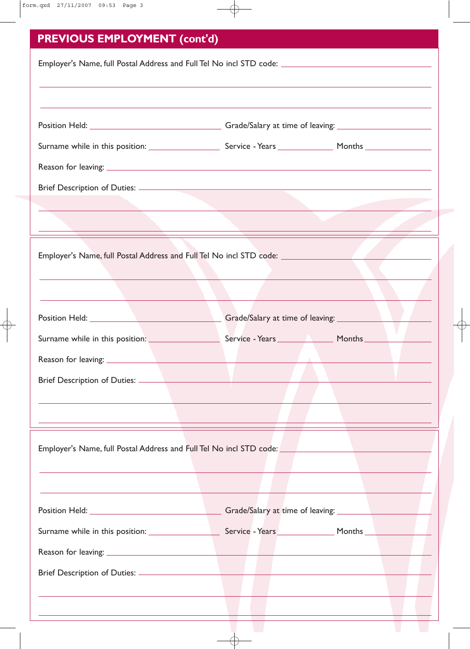| <b>PREVIOUS EMPLOYMENT (cont'd)</b>                                                                                   |  |                              |  |  |
|-----------------------------------------------------------------------------------------------------------------------|--|------------------------------|--|--|
|                                                                                                                       |  |                              |  |  |
|                                                                                                                       |  |                              |  |  |
|                                                                                                                       |  |                              |  |  |
|                                                                                                                       |  |                              |  |  |
|                                                                                                                       |  |                              |  |  |
|                                                                                                                       |  |                              |  |  |
|                                                                                                                       |  |                              |  |  |
| the contract of the contract of the contract of the contract of the contract of the contract of the contract of       |  |                              |  |  |
|                                                                                                                       |  |                              |  |  |
| Employer's Name, full Postal Address and Full Tel No incl STD code: _____________                                     |  |                              |  |  |
| the contract of the contract of the contract of the contract of the contract of the contract of the contract of       |  |                              |  |  |
|                                                                                                                       |  |                              |  |  |
|                                                                                                                       |  |                              |  |  |
| Surname while in this position: Service - Years Months Months                                                         |  |                              |  |  |
|                                                                                                                       |  |                              |  |  |
|                                                                                                                       |  |                              |  |  |
|                                                                                                                       |  |                              |  |  |
|                                                                                                                       |  |                              |  |  |
|                                                                                                                       |  |                              |  |  |
|                                                                                                                       |  |                              |  |  |
|                                                                                                                       |  |                              |  |  |
|                                                                                                                       |  |                              |  |  |
|                                                                                                                       |  |                              |  |  |
|                                                                                                                       |  |                              |  |  |
|                                                                                                                       |  |                              |  |  |
|                                                                                                                       |  |                              |  |  |
|                                                                                                                       |  |                              |  |  |
| <u> 1989 - Johann Stoff, deutscher Stoff, der Stoff, der Stoff, der Stoff, der Stoff, der Stoff, der Stoff, der S</u> |  | and the contract of the con- |  |  |

 $\overline{\oplus}$ 

 $\pm$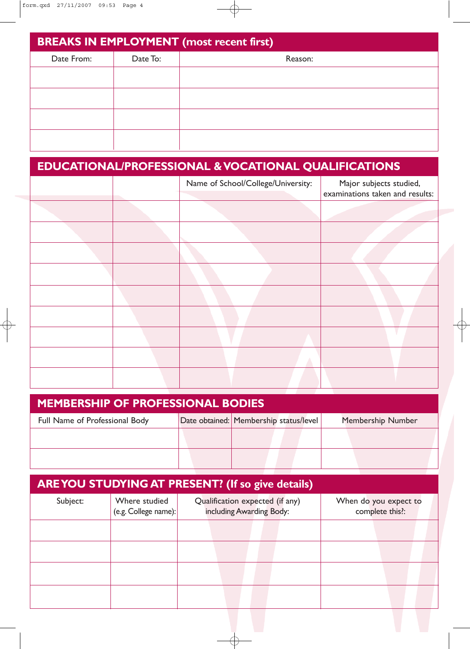| <b>BREAKS IN EMPLOYMENT (most recent first)</b> |          |         |  |  |  |  |
|-------------------------------------------------|----------|---------|--|--|--|--|
| Date From:                                      | Date To: | Reason: |  |  |  |  |
|                                                 |          |         |  |  |  |  |
|                                                 |          |         |  |  |  |  |
|                                                 |          |         |  |  |  |  |
|                                                 |          |         |  |  |  |  |
|                                                 |          |         |  |  |  |  |
|                                                 |          |         |  |  |  |  |

 $\phi$ 

| <b>EDUCATIONAL/PROFESSIONAL &amp; VOCATIONAL QUALIFICATIONS</b> |  |                                    |                                                            |  |  |  |
|-----------------------------------------------------------------|--|------------------------------------|------------------------------------------------------------|--|--|--|
|                                                                 |  | Name of School/College/University: | Major subjects studied,<br>examinations taken and results: |  |  |  |
|                                                                 |  |                                    |                                                            |  |  |  |
|                                                                 |  |                                    |                                                            |  |  |  |
|                                                                 |  |                                    |                                                            |  |  |  |
|                                                                 |  |                                    |                                                            |  |  |  |
|                                                                 |  |                                    |                                                            |  |  |  |
|                                                                 |  |                                    |                                                            |  |  |  |
|                                                                 |  |                                    |                                                            |  |  |  |
|                                                                 |  |                                    |                                                            |  |  |  |
|                                                                 |  |                                    |                                                            |  |  |  |

| <b>MEMBERSHIP OF PROFESSIONAL BODIES</b> |  |                                        |  |  |  |  |                          |
|------------------------------------------|--|----------------------------------------|--|--|--|--|--------------------------|
| Full Name of Professional Body           |  | Date obtained: Membership status/level |  |  |  |  | <b>Membership Number</b> |
|                                          |  |                                        |  |  |  |  |                          |
|                                          |  |                                        |  |  |  |  |                          |

| <b>ARE YOU STUDYING AT PRESENT? (If so give details)</b> |                                       |  |                                                             |  |                                          |  |  |  |
|----------------------------------------------------------|---------------------------------------|--|-------------------------------------------------------------|--|------------------------------------------|--|--|--|
| Subject:                                                 | Where studied<br>(e.g. College name): |  | Qualification expected (if any)<br>including Awarding Body: |  | When do you expect to<br>complete this?: |  |  |  |
|                                                          |                                       |  |                                                             |  |                                          |  |  |  |
|                                                          |                                       |  |                                                             |  |                                          |  |  |  |
|                                                          |                                       |  |                                                             |  |                                          |  |  |  |
|                                                          |                                       |  |                                                             |  |                                          |  |  |  |

 $\overline{\varphi}$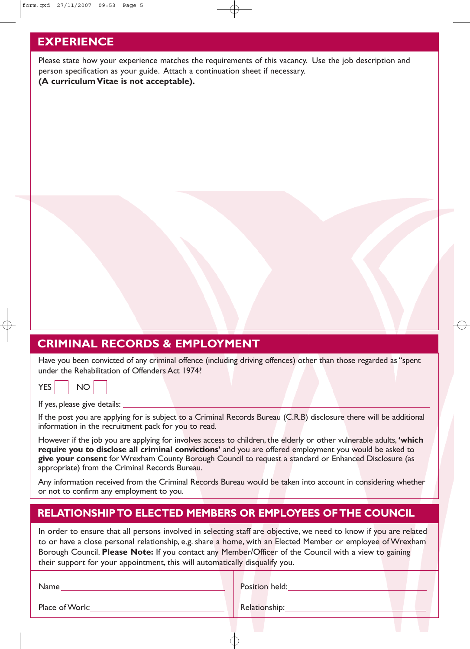### **EXPERIENCE**

Please state how your experience matches the requirements of this vacancy. Use the job description and person specification as your guide. Attach a continuation sheet if necessary. **(A curriculum Vitae is not acceptable).**

## **CRIMINAL RECORDS & EMPLOYMENT**

Have you been convicted of any criminal offence (including driving offences) other than those regarded as "spent under the Rehabilitation of Offenders Act 1974?

|--|

If yes, please give details:

If the post you are applying for is subject to a Criminal Records Bureau (C.R.B) disclosure there will be additional information in the recruitment pack for you to read.

However if the job you are applying for involves access to children, the elderly or other vulnerable adults, **'which require you to disclose all criminal convictions'** and you are offered employment you would be asked to **give your consent** for Wrexham County Borough Council to request a standard or Enhanced Disclosure (as appropriate) from the Criminal Records Bureau.

Any information received from the Criminal Records Bureau would be taken into account in considering whether or not to confirm any employment to you.

#### **RELATIONSHIP TO ELECTED MEMBERS OR EMPLOYEES OF THE COUNCIL**

In order to ensure that all persons involved in selecting staff are objective, we need to know if you are related to or have a close personal relationship, e.g. share a home, with an Elected Member or employee of Wrexham Borough Council. **Please Note:** If you contact any Member/Officer of the Council with a view to gaining their support for your appointment, this will automatically disqualify you.

Name

Position held:

Place of Work:

Relationship: